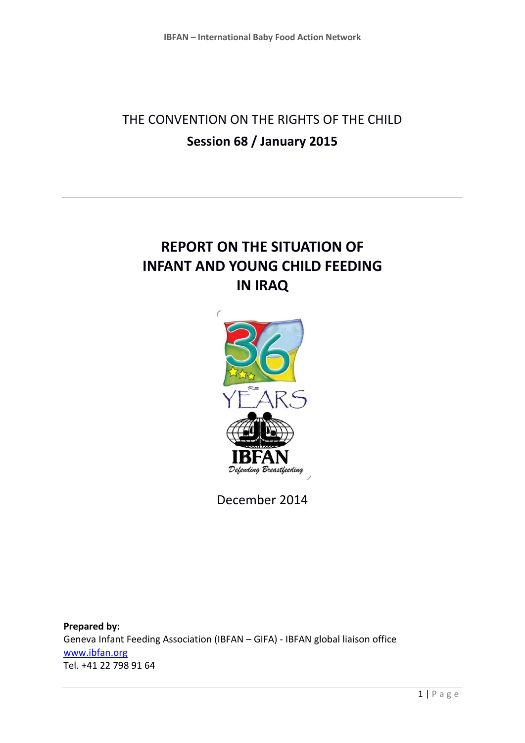# THE CONVENTION ON THE RIGHTS OF THE CHILD **Session 68 / January 2015**

# **REPORT ON THE SITUATION OF INFANT AND YOUNG CHILD FEEDING IN IRAQ**



December 2014

**Prepared by:**  Geneva Infant Feeding Association (IBFAN – GIFA) - IBFAN global liaison office [www.ibfan.org](http://www.ibfan.org/) Tel. +41 22 798 91 64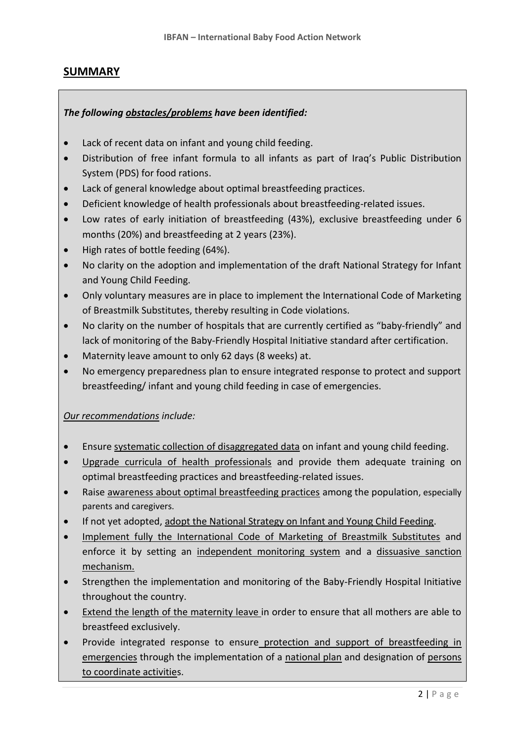#### **SUMMARY**

#### *The following obstacles/problems have been identified:*

- Lack of recent data on infant and young child feeding.
- Distribution of free infant formula to all infants as part of Iraq's Public Distribution System (PDS) for food rations.
- Lack of general knowledge about optimal breastfeeding practices.
- Deficient knowledge of health professionals about breastfeeding-related issues.
- Low rates of early initiation of breastfeeding (43%), exclusive breastfeeding under 6 months (20%) and breastfeeding at 2 years (23%).
- High rates of bottle feeding (64%).
- No clarity on the adoption and implementation of the draft National Strategy for Infant and Young Child Feeding.
- Only voluntary measures are in place to implement the International Code of Marketing of Breastmilk Substitutes, thereby resulting in Code violations.
- No clarity on the number of hospitals that are currently certified as "baby-friendly" and lack of monitoring of the Baby-Friendly Hospital Initiative standard after certification.
- Maternity leave amount to only 62 days (8 weeks) at.
- No emergency preparedness plan to ensure integrated response to protect and support breastfeeding/ infant and young child feeding in case of emergencies.

*Our recommendations include:*

- Ensure systematic collection of disaggregated data on infant and young child feeding.
- Upgrade curricula of health professionals and provide them adequate training on optimal breastfeeding practices and breastfeeding-related issues.
- Raise awareness about optimal breastfeeding practices among the population, especially parents and caregivers.
- If not yet adopted, adopt the National Strategy on Infant and Young Child Feeding.
- Implement fully the International Code of Marketing of Breastmilk Substitutes and enforce it by setting an independent monitoring system and a dissuasive sanction mechanism.
- Strengthen the implementation and monitoring of the Baby-Friendly Hospital Initiative throughout the country.
- Extend the length of the maternity leave in order to ensure that all mothers are able to breastfeed exclusively.
- Provide integrated response to ensure protection and support of breastfeeding in emergencies through the implementation of a national plan and designation of persons to coordinate activities.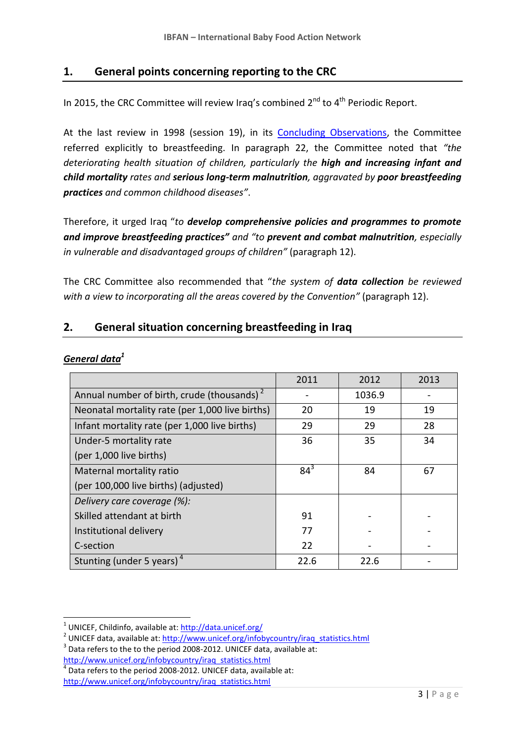#### **1. General points concerning reporting to the CRC**

In 2015, the CRC Committee will review Iraq's combined  $2^{nd}$  to  $4^{th}$  Periodic Report.

At the last review in 1998 (session 19), in its [Concluding Observations,](http://tbinternet.ohchr.org/_layouts/treatybodyexternal/Download.aspx?symbolno=CRC%2fC%2f15%2fAdd.94&Lang=en) the Committee referred explicitly to breastfeeding. In paragraph 22, the Committee noted that *"the deteriorating health situation of children, particularly the high and increasing infant and child mortality rates and serious long-term malnutrition, aggravated by poor breastfeeding practices and common childhood diseases"*.

Therefore, it urged Iraq "*to develop comprehensive policies and programmes to promote and improve breastfeeding practices" and "to prevent and combat malnutrition, especially in vulnerable and disadvantaged groups of children"* (paragraph 12).

The CRC Committee also recommended that "*the system of data collection be reviewed with a view to incorporating all the areas covered by the Convention"* (paragraph 12).

#### **2. General situation concerning breastfeeding in Iraq**

#### *General data<sup>1</sup>*

**.** 

|                                                        | 2011     | 2012   | 2013 |
|--------------------------------------------------------|----------|--------|------|
| Annual number of birth, crude (thousands) <sup>2</sup> |          | 1036.9 |      |
| Neonatal mortality rate (per 1,000 live births)        | 20       | 19     | 19   |
| Infant mortality rate (per 1,000 live births)          | 29       | 29     | 28   |
| Under-5 mortality rate                                 | 36       | 35     | 34   |
| (per 1,000 live births)                                |          |        |      |
| Maternal mortality ratio                               | $84^{3}$ | 84     | 67   |
| (per 100,000 live births) (adjusted)                   |          |        |      |
| Delivery care coverage (%):                            |          |        |      |
| Skilled attendant at birth                             | 91       |        |      |
| Institutional delivery                                 | 77       |        |      |
| C-section                                              | 22       |        |      |
| Stunting (under 5 years) <sup>4</sup>                  | 22.6     | 22.6   |      |

<sup>&</sup>lt;sup>1</sup> UNICEF, Childinfo, available at: **http://data.unicef.org/** 

<sup>&</sup>lt;sup>2</sup> UNICEF data, available at: [http://www.unicef.org/infobycountry/iraq\\_statistics.html](http://www.unicef.org/infobycountry/iraq_statistics.html)

 $3$  Data refers to the to the period 2008-2012. UNICEF data, available at: [http://www.unicef.org/infobycountry/iraq\\_statistics.html](http://www.unicef.org/infobycountry/iraq_statistics.html)<br><sup>4</sup> Data refers to the noried 2008-2012, UNICEE data, availa

Data refers to the period 2008-2012. UNICEF data, available at: [http://www.unicef.org/infobycountry/iraq\\_statistics.html](http://www.unicef.org/infobycountry/iraq_statistics.html)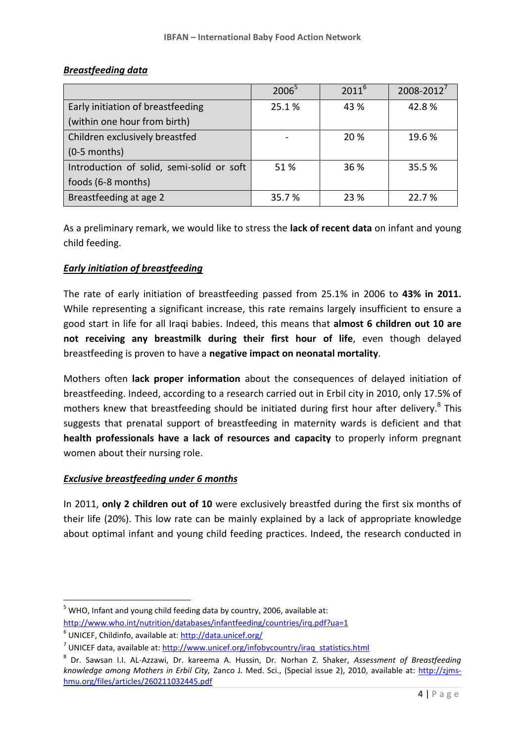|                                           | $2006^5$ | $2011^{6}$ | $2008 - 2012^7$ |
|-------------------------------------------|----------|------------|-----------------|
| Early initiation of breastfeeding         | 25.1%    | 43 %       | 42.8%           |
| (within one hour from birth)              |          |            |                 |
| Children exclusively breastfed            |          | 20 %       | 19.6%           |
| $(0-5$ months)                            |          |            |                 |
| Introduction of solid, semi-solid or soft | 51%      | 36 %       | 35.5 %          |
| foods (6-8 months)                        |          |            |                 |
| Breastfeeding at age 2                    | 35.7%    | 23 %       | 22.7 %          |

#### *Breastfeeding data*

As a preliminary remark, we would like to stress the **lack of recent data** on infant and young child feeding.

#### *Early initiation of breastfeeding*

The rate of early initiation of breastfeeding passed from 25.1% in 2006 to **43% in 2011.** While representing a significant increase, this rate remains largely insufficient to ensure a good start in life for all Iraqi babies. Indeed, this means that **almost 6 children out 10 are not receiving any breastmilk during their first hour of life**, even though delayed breastfeeding is proven to have a **negative impact on neonatal mortality**.

Mothers often **lack proper information** about the consequences of delayed initiation of breastfeeding. Indeed, according to a research carried out in Erbil city in 2010, only 17.5% of mothers knew that breastfeeding should be initiated during first hour after delivery.<sup>8</sup> This suggests that prenatal support of breastfeeding in maternity wards is deficient and that **health professionals have a lack of resources and capacity** to properly inform pregnant women about their nursing role.

#### *Exclusive breastfeeding under 6 months*

In 2011, **only 2 children out of 10** were exclusively breastfed during the first six months of their life (20%). This low rate can be mainly explained by a lack of appropriate knowledge about optimal infant and young child feeding practices. Indeed, the research conducted in

**.** 

 $5$  WHO, Infant and young child feeding data by country, 2006, available at: <http://www.who.int/nutrition/databases/infantfeeding/countries/irq.pdf?ua=1>

<sup>&</sup>lt;sup>6</sup> UNICEF, Childinfo, available at: **http://data.unicef.org/** 

<sup>&</sup>lt;sup>7</sup> UNICEF data, available at: [http://www.unicef.org/infobycountry/iraq\\_statistics.html](http://www.unicef.org/infobycountry/iraq_statistics.html)

<sup>8</sup> Dr. Sawsan I.I. AL-Azzawi, Dr. kareema A. Hussin, Dr. Norhan Z. Shaker, *Assessment of Breastfeeding knowledge among Mothers in Erbil City,* Zanco J. Med. Sci., (Special issue 2), 2010, available at: [http://zjms](http://zjms-hmu.org/files/articles/260211032445.pdf)[hmu.org/files/articles/260211032445.pdf](http://zjms-hmu.org/files/articles/260211032445.pdf)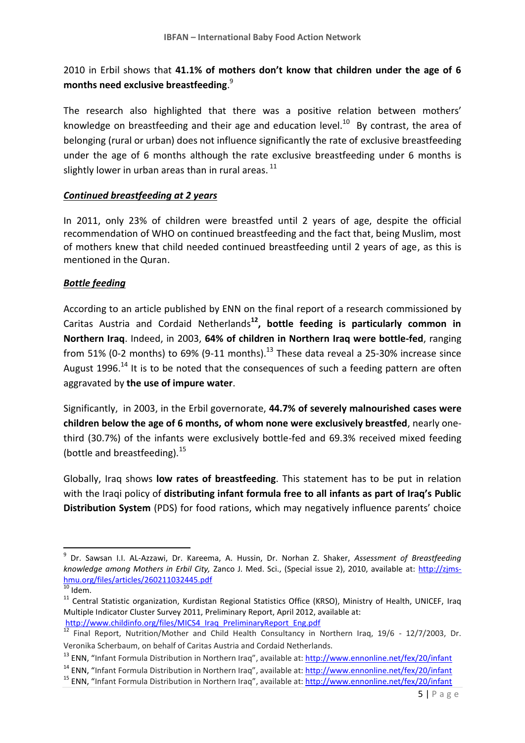# 2010 in Erbil shows that **41.1% of mothers don't know that children under the age of 6 months need exclusive breastfeeding**. 9

The research also highlighted that there was a positive relation between mothers' knowledge on breastfeeding and their age and education level.<sup>10</sup> By contrast, the area of belonging (rural or urban) does not influence significantly the rate of exclusive breastfeeding under the age of 6 months although the rate exclusive breastfeeding under 6 months is slightly lower in urban areas than in rural areas. <sup>11</sup>

#### *Continued breastfeeding at 2 years*

In 2011, only 23% of children were breastfed until 2 years of age, despite the official recommendation of WHO on continued breastfeeding and the fact that, being Muslim, most of mothers knew that child needed continued breastfeeding until 2 years of age, as this is mentioned in the Quran.

#### *Bottle feeding*

According to an article published by ENN on the final report of a research commissioned by Caritas Austria and Cordaid Netherlands**<sup>12</sup>, bottle feeding is particularly common in Northern Iraq**. Indeed, in 2003, **64% of children in Northern Iraq were bottle-fed**, ranging from 51% (0-2 months) to 69% (9-11 months).<sup>13</sup> These data reveal a 25-30% increase since August 1996.<sup>14</sup> It is to be noted that the consequences of such a feeding pattern are often aggravated by **the use of impure water**.

Significantly, in 2003, in the Erbil governorate, **44.7% of severely malnourished cases were children below the age of 6 months, of whom none were exclusively breastfed**, nearly onethird (30.7%) of the infants were exclusively bottle-fed and 69.3% received mixed feeding (bottle and breastfeeding).  $15$ 

Globally, Iraq shows **low rates of breastfeeding**. This statement has to be put in relation with the Iraqi policy of **distributing infant formula free to all infants as part of Iraq's Public Distribution System** (PDS) for food rations, which may negatively influence parents' choice

**.** 

[http://www.childinfo.org/files/MICS4\\_Iraq\\_PreliminaryReport\\_Eng.pdf](http://www.childinfo.org/files/MICS4_Iraq_PreliminaryReport_Eng.pdf)

<sup>9</sup> Dr. Sawsan I.I. AL-Azzawi, Dr. Kareema, A. Hussin, Dr. Norhan Z. Shaker, *Assessment of Breastfeeding knowledge among Mothers in Erbil City,* Zanco J. Med. Sci., (Special issue 2), 2010, available at: [http://zjms](http://zjms-hmu.org/files/articles/260211032445.pdf)[hmu.org/files/articles/260211032445.pdf](http://zjms-hmu.org/files/articles/260211032445.pdf)

 $\overline{10}$  Idem.

<sup>&</sup>lt;sup>11</sup> Central Statistic organization, Kurdistan Regional Statistics Office (KRSO), Ministry of Health, UNICEF, Iraq Multiple Indicator Cluster Survey 2011, Preliminary Report, April 2012, available at:

<sup>&</sup>lt;sup>12</sup> Final Report, Nutrition/Mother and Child Health Consultancy in Northern Iraq, 19/6 - 12/7/2003, Dr. Veronika Scherbaum, on behalf of Caritas Austria and Cordaid Netherlands.

<sup>&</sup>lt;sup>13</sup> ENN, "Infant Formula Distribution in Northern Iraq", available at[: http://www.ennonline.net/fex/20/infant](http://www.ennonline.net/fex/20/infant)

<sup>&</sup>lt;sup>14</sup> ENN, "Infant Formula Distribution in Northern Iraq", available at[: http://www.ennonline.net/fex/20/infant](http://www.ennonline.net/fex/20/infant)

<sup>15</sup> ENN, "Infant Formula Distribution in Northern Iraq", available at[: http://www.ennonline.net/fex/20/infant](http://www.ennonline.net/fex/20/infant)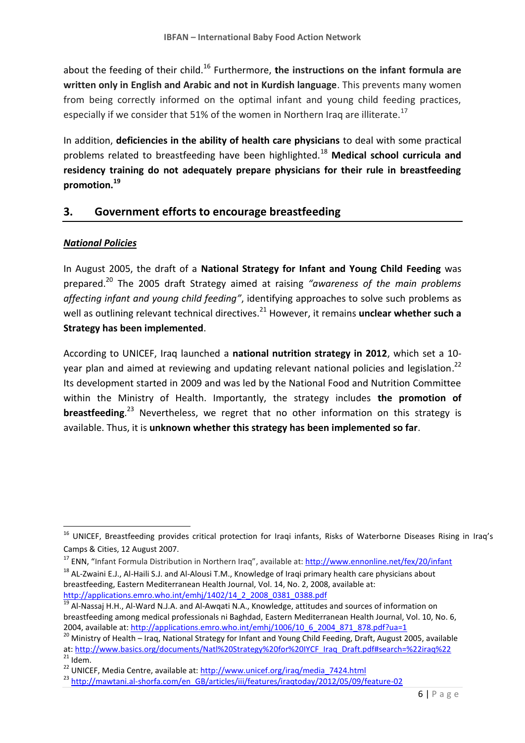about the feeding of their child.<sup>16</sup> Furthermore, **the instructions on the infant formula are written only in English and Arabic and not in Kurdish language**. This prevents many women from being correctly informed on the optimal infant and young child feeding practices, especially if we consider that 51% of the women in Northern Iraq are illiterate.<sup>17</sup>

In addition, **deficiencies in the ability of health care physicians** to deal with some practical problems related to breastfeeding have been highlighted.<sup>18</sup> **Medical school curricula and residency training do not adequately prepare physicians for their rule in breastfeeding promotion.<sup>19</sup>**

### **3. Government efforts to encourage breastfeeding**

#### *National Policies*

 $\overline{\phantom{a}}$ 

In August 2005, the draft of a **National Strategy for Infant and Young Child Feeding** was prepared. <sup>20</sup> The 2005 draft Strategy aimed at raising *"awareness of the main problems affecting infant and young child feeding"*, identifying approaches to solve such problems as well as outlining relevant technical directives.<sup>21</sup> However, it remains **unclear whether such a Strategy has been implemented**.

According to UNICEF, Iraq launched a **national nutrition strategy in 2012**, which set a 10 year plan and aimed at reviewing and updating relevant national policies and legislation.<sup>22</sup> Its development started in 2009 and was led by the National Food and Nutrition Committee within the Ministry of Health. Importantly, the strategy includes **the promotion of breastfeeding**. <sup>23</sup> Nevertheless, we regret that no other information on this strategy is available. Thus, it is **unknown whether this strategy has been implemented so far**.

<sup>&</sup>lt;sup>16</sup> UNICEF, Breastfeeding provides critical protection for Iraqi infants, Risks of Waterborne Diseases Rising in Iraq's Camps & Cities, 12 August 2007.

<sup>&</sup>lt;sup>17</sup> ENN, "Infant Formula Distribution in Northern Iraq", available at[: http://www.ennonline.net/fex/20/infant](http://www.ennonline.net/fex/20/infant)

<sup>&</sup>lt;sup>18</sup> AL-Zwaini E.J., Al-Haili S.J. and Al-Alousi T.M., Knowledge of Iraqi primary health care physicians about breastfeeding, Eastern Mediterranean Health Journal, Vol. 14, No. 2, 2008, available at: [http://applications.emro.who.int/emhj/1402/14\\_2\\_2008\\_0381\\_0388.pdf](http://applications.emro.who.int/emhj/1402/14_2_2008_0381_0388.pdf)

<sup>&</sup>lt;sup>19</sup> Al-Nassai H.H., Al-Ward N.J.A. and Al-Awqati N.A., Knowledge, attitudes and sources of information on breastfeeding among medical professionals ni Baghdad, Eastern Mediterranean Health Journal, Vol. 10, No. 6, 2004, available at[: http://applications.emro.who.int/emhj/1006/10\\_6\\_2004\\_871\\_878.pdf?ua=1](http://applications.emro.who.int/emhj/1006/10_6_2004_871_878.pdf?ua=1)

<sup>&</sup>lt;sup>20</sup> Ministry of Health – Iraq, National Strategy for Infant and Young Child Feeding, Draft, August 2005, available at: [http://www.basics.org/documents/Natl%20Strategy%20for%20IYCF\\_Iraq\\_Draft.pdf#search=%22iraq%22](http://www.basics.org/documents/Natl%20Strategy%20for%20IYCF_Iraq_Draft.pdf#search=%22iraq%22)  $^{21}$  Idem.

<sup>&</sup>lt;sup>22</sup> UNICEF, Media Centre, available at: [http://www.unicef.org/iraq/media\\_7424.html](http://www.unicef.org/iraq/media_7424.html)

<sup>&</sup>lt;sup>23</sup> [http://mawtani.al-shorfa.com/en\\_GB/articles/iii/features/iraqtoday/2012/05/09/feature-02](http://mawtani.al-shorfa.com/en_GB/articles/iii/features/iraqtoday/2012/05/09/feature-02)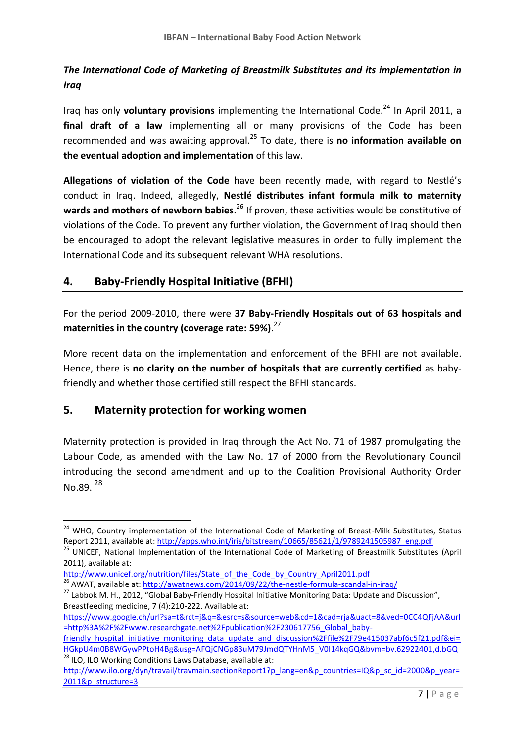# *The International Code of Marketing of Breastmilk Substitutes and its implementation in Iraq*

Iraq has only **voluntary provisions** implementing the International Code.<sup>24</sup> In April 2011, a **final draft of a law** implementing all or many provisions of the Code has been recommended and was awaiting approval. <sup>25</sup> To date, there is **no information available on the eventual adoption and implementation** of this law.

**Allegations of violation of the Code** have been recently made, with regard to Nestlé's conduct in Iraq. Indeed, allegedly, **Nestlé distributes infant formula milk to maternity wards and mothers of newborn babies**. <sup>26</sup> If proven, these activities would be constitutive of violations of the Code. To prevent any further violation, the Government of Iraq should then be encouraged to adopt the relevant legislative measures in order to fully implement the International Code and its subsequent relevant WHA resolutions.

# **4. Baby-Friendly Hospital Initiative (BFHI)**

For the period 2009-2010, there were **37 Baby-Friendly Hospitals out of 63 hospitals and maternities in the country (coverage rate: 59%)**. 27

More recent data on the implementation and enforcement of the BFHI are not available. Hence, there is **no clarity on the number of hospitals that are currently certified** as babyfriendly and whether those certified still respect the BFHI standards.

#### **5. Maternity protection for working women**

**.** 

Maternity protection is provided in Iraq through the Act No. 71 of 1987 promulgating the Labour Code, as amended with the Law No. 17 of 2000 from the Revolutionary Council introducing the second amendment and up to the Coalition Provisional Authority Order No.89. $^{28}$ 

[http://www.unicef.org/nutrition/files/State\\_of\\_the\\_Code\\_by\\_Country\\_April2011.pdf](http://www.unicef.org/nutrition/files/State_of_the_Code_by_Country_April2011.pdf) <sup>26</sup> AWAT, available at:<http://awatnews.com/2014/09/22/the-nestle-formula-scandal-in-iraq/>

[friendly\\_hospital\\_initiative\\_monitoring\\_data\\_update\\_and\\_discussion%2Ffile%2F79e415037abf6c5f21.pdf&ei=](https://www.google.ch/url?sa=t&rct=j&q=&esrc=s&source=web&cd=1&cad=rja&uact=8&ved=0CC4QFjAA&url=http%3A%2F%2Fwww.researchgate.net%2Fpublication%2F230617756_Global_baby-friendly_hospital_initiative_monitoring_data_update_and_discussion%2Ffile%2F79e415037abf6c5f21.pdf&ei=HGkpU4m0B8WGywPPtoH4Bg&usg=AFQjCNGp83uM79JmdQTYHnM5_V0I14kqGQ&bvm=bv.62922401,d.bGQ) [HGkpU4m0B8WGywPPtoH4Bg&usg=AFQjCNGp83uM79JmdQTYHnM5\\_V0I14kqGQ&bvm=bv.62922401,d.bGQ](https://www.google.ch/url?sa=t&rct=j&q=&esrc=s&source=web&cd=1&cad=rja&uact=8&ved=0CC4QFjAA&url=http%3A%2F%2Fwww.researchgate.net%2Fpublication%2F230617756_Global_baby-friendly_hospital_initiative_monitoring_data_update_and_discussion%2Ffile%2F79e415037abf6c5f21.pdf&ei=HGkpU4m0B8WGywPPtoH4Bg&usg=AFQjCNGp83uM79JmdQTYHnM5_V0I14kqGQ&bvm=bv.62922401,d.bGQ) 28 ILO, ILO Working Conditions Laws Database, available at:

<sup>&</sup>lt;sup>24</sup> WHO. Countrv implementation of the International Code of Marketing of Breast-Milk Substitutes, Status Report 2011, available at: [http://apps.who.int/iris/bitstream/10665/85621/1/9789241505987\\_eng.pdf](http://apps.who.int/iris/bitstream/10665/85621/1/9789241505987_eng.pdf)

<sup>&</sup>lt;sup>25</sup> UNICEF, National Implementation of the International Code of Marketing of Breastmilk Substitutes (April 2011), available at:

<sup>&</sup>lt;sup>27</sup> Labbok M. H., 2012, "Global Baby-Friendly Hospital Initiative Monitoring Data: Update and Discussion", Breastfeeding medicine, 7 (4):210-222. Available at:

[https://www.google.ch/url?sa=t&rct=j&q=&esrc=s&source=web&cd=1&cad=rja&uact=8&ved=0CC4QFjAA&url](https://www.google.ch/url?sa=t&rct=j&q=&esrc=s&source=web&cd=1&cad=rja&uact=8&ved=0CC4QFjAA&url=http%3A%2F%2Fwww.researchgate.net%2Fpublication%2F230617756_Global_baby-friendly_hospital_initiative_monitoring_data_update_and_discussion%2Ffile%2F79e415037abf6c5f21.pdf&ei=HGkpU4m0B8WGywPPtoH4Bg&usg=AFQjCNGp83uM79JmdQTYHnM5_V0I14kqGQ&bvm=bv.62922401,d.bGQ) [=http%3A%2F%2Fwww.researchgate.net%2Fpublication%2F230617756\\_Global\\_baby-](https://www.google.ch/url?sa=t&rct=j&q=&esrc=s&source=web&cd=1&cad=rja&uact=8&ved=0CC4QFjAA&url=http%3A%2F%2Fwww.researchgate.net%2Fpublication%2F230617756_Global_baby-friendly_hospital_initiative_monitoring_data_update_and_discussion%2Ffile%2F79e415037abf6c5f21.pdf&ei=HGkpU4m0B8WGywPPtoH4Bg&usg=AFQjCNGp83uM79JmdQTYHnM5_V0I14kqGQ&bvm=bv.62922401,d.bGQ)

[http://www.ilo.org/dyn/travail/travmain.sectionReport1?p\\_lang=en&p\\_countries=IQ&p\\_sc\\_id=2000&p\\_year=](http://www.ilo.org/dyn/travail/travmain.sectionReport1?p_lang=en&p_countries=IQ&p_sc_id=2000&p_year=2011&p_structure=3) [2011&p\\_structure=3](http://www.ilo.org/dyn/travail/travmain.sectionReport1?p_lang=en&p_countries=IQ&p_sc_id=2000&p_year=2011&p_structure=3)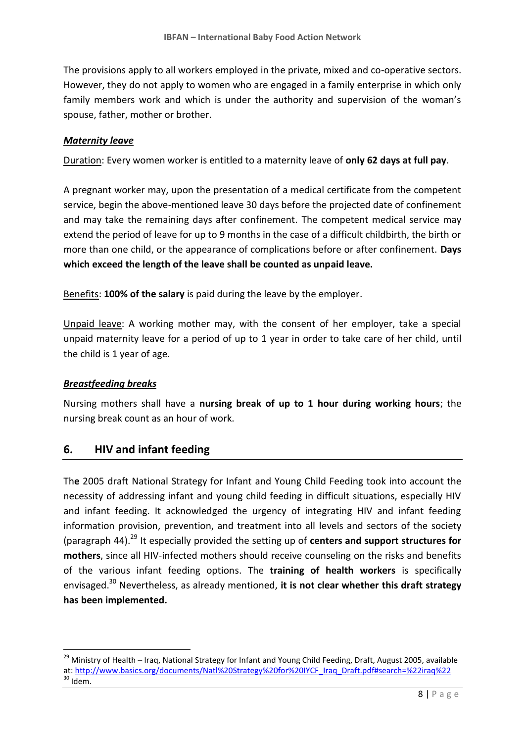The provisions apply to all workers employed in the private, mixed and co-operative sectors. However, they do not apply to women who are engaged in a family enterprise in which only family members work and which is under the authority and supervision of the woman's spouse, father, mother or brother.

#### *Maternity leave*

Duration: Every women worker is entitled to a maternity leave of **only 62 days at full pay**.

A pregnant worker may, upon the presentation of a medical certificate from the competent service, begin the above-mentioned leave 30 days before the projected date of confinement and may take the remaining days after confinement. The competent medical service may extend the period of leave for up to 9 months in the case of a difficult childbirth, the birth or more than one child, or the appearance of complications before or after confinement. **Days which exceed the length of the leave shall be counted as unpaid leave.**

Benefits: **100% of the salary** is paid during the leave by the employer.

Unpaid leave: A working mother may, with the consent of her employer, take a special unpaid maternity leave for a period of up to 1 year in order to take care of her child, until the child is 1 year of age.

#### *Breastfeeding breaks*

 $\overline{\phantom{a}}$ 

Nursing mothers shall have a **nursing break of up to 1 hour during working hours**; the nursing break count as an hour of work.

#### **6. HIV and infant feeding**

Th**e** 2005 draft National Strategy for Infant and Young Child Feeding took into account the necessity of addressing infant and young child feeding in difficult situations, especially HIV and infant feeding. It acknowledged the urgency of integrating HIV and infant feeding information provision, prevention, and treatment into all levels and sectors of the society (paragraph 44). <sup>29</sup> It especially provided the setting up of **centers and support structures for mothers**, since all HIV-infected mothers should receive counseling on the risks and benefits of the various infant feeding options. The **training of health workers** is specifically envisaged.<sup>30</sup> Nevertheless, as already mentioned, **it is not clear whether this draft strategy has been implemented.** 

<sup>&</sup>lt;sup>29</sup> Ministry of Health – Iraq, National Strategy for Infant and Young Child Feeding, Draft, August 2005, available at: [http://www.basics.org/documents/Natl%20Strategy%20for%20IYCF\\_Iraq\\_Draft.pdf#search=%22iraq%22](http://www.basics.org/documents/Natl%20Strategy%20for%20IYCF_Iraq_Draft.pdf#search=%22iraq%22)  $30$  Idem.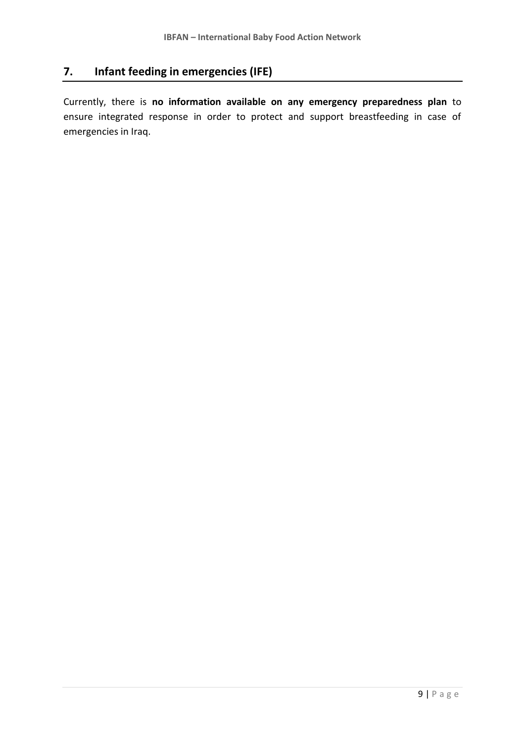# **7. Infant feeding in emergencies (IFE)**

Currently, there is **no information available on any emergency preparedness plan** to ensure integrated response in order to protect and support breastfeeding in case of emergencies in Iraq.